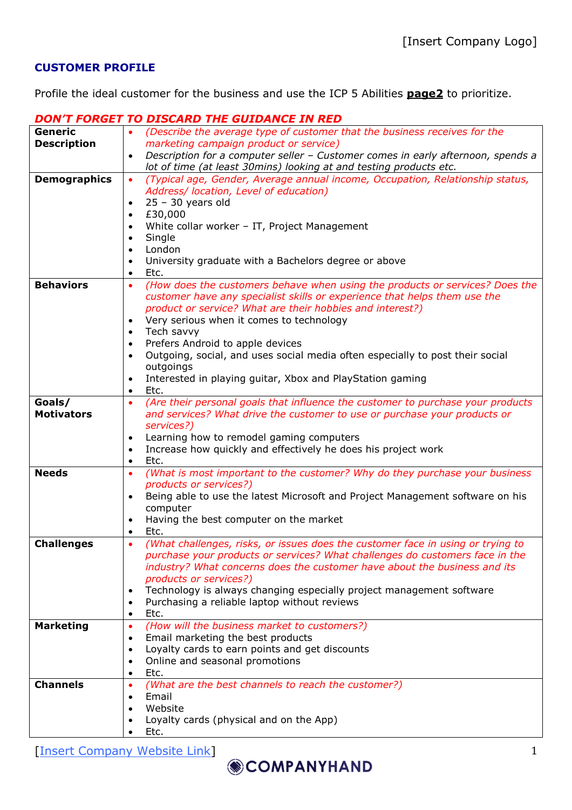## **CUSTOMER PROFILE**

Profile the ideal customer for the business and use the ICP 5 Abilities **page2** to prioritize.

## *DON'T FORGET TO DISCARD THE GUIDANCE IN RED*

| Generic             | (Describe the average type of customer that the business receives for the<br>$\bullet$       |  |  |  |  |
|---------------------|----------------------------------------------------------------------------------------------|--|--|--|--|
| <b>Description</b>  | marketing campaign product or service)                                                       |  |  |  |  |
|                     | Description for a computer seller - Customer comes in early afternoon, spends a              |  |  |  |  |
|                     | lot of time (at least 30mins) looking at and testing products etc.                           |  |  |  |  |
| <b>Demographics</b> | (Typical age, Gender, Average annual income, Occupation, Relationship status,<br>$\bullet$   |  |  |  |  |
|                     | Address/ location, Level of education)                                                       |  |  |  |  |
|                     | $25 - 30$ years old                                                                          |  |  |  |  |
|                     | £30,000                                                                                      |  |  |  |  |
|                     | White collar worker - IT, Project Management                                                 |  |  |  |  |
|                     | Single                                                                                       |  |  |  |  |
|                     | London                                                                                       |  |  |  |  |
|                     | University graduate with a Bachelors degree or above                                         |  |  |  |  |
|                     |                                                                                              |  |  |  |  |
|                     | Etc.<br>$\bullet$                                                                            |  |  |  |  |
| <b>Behaviors</b>    | (How does the customers behave when using the products or services? Does the<br>$\bullet$    |  |  |  |  |
|                     | customer have any specialist skills or experience that helps them use the                    |  |  |  |  |
|                     | product or service? What are their hobbies and interest?)                                    |  |  |  |  |
|                     | Very serious when it comes to technology                                                     |  |  |  |  |
|                     | Tech savvy<br>$\bullet$                                                                      |  |  |  |  |
|                     | Prefers Android to apple devices                                                             |  |  |  |  |
|                     | Outgoing, social, and uses social media often especially to post their social                |  |  |  |  |
|                     | outgoings                                                                                    |  |  |  |  |
|                     | Interested in playing guitar, Xbox and PlayStation gaming                                    |  |  |  |  |
|                     | Etc.<br>$\bullet$                                                                            |  |  |  |  |
| Goals/              | (Are their personal goals that influence the customer to purchase your products<br>$\bullet$ |  |  |  |  |
| <b>Motivators</b>   | and services? What drive the customer to use or purchase your products or                    |  |  |  |  |
|                     | services?)                                                                                   |  |  |  |  |
|                     | Learning how to remodel gaming computers<br>$\bullet$                                        |  |  |  |  |
|                     | Increase how quickly and effectively he does his project work<br>$\bullet$                   |  |  |  |  |
|                     | Etc.<br>$\bullet$                                                                            |  |  |  |  |
| <b>Needs</b>        | (What is most important to the customer? Why do they purchase your business<br>$\bullet$     |  |  |  |  |
|                     | products or services?)                                                                       |  |  |  |  |
|                     | Being able to use the latest Microsoft and Project Management software on his                |  |  |  |  |
|                     | computer                                                                                     |  |  |  |  |
|                     | Having the best computer on the market                                                       |  |  |  |  |
|                     | Etc.                                                                                         |  |  |  |  |
| <b>Challenges</b>   | (What challenges, risks, or issues does the customer face in using or trying to<br>$\bullet$ |  |  |  |  |
|                     | purchase your products or services? What challenges do customers face in the                 |  |  |  |  |
|                     | industry? What concerns does the customer have about the business and its                    |  |  |  |  |
|                     | products or services?)                                                                       |  |  |  |  |
|                     | Technology is always changing especially project management software<br>$\bullet$            |  |  |  |  |
|                     | Purchasing a reliable laptop without reviews                                                 |  |  |  |  |
|                     | $\bullet$<br>Etc.<br>$\bullet$                                                               |  |  |  |  |
|                     |                                                                                              |  |  |  |  |
| <b>Marketing</b>    | (How will the business market to customers?)<br>$\bullet$                                    |  |  |  |  |
|                     | Email marketing the best products<br>$\bullet$                                               |  |  |  |  |
|                     | Loyalty cards to earn points and get discounts<br>$\bullet$                                  |  |  |  |  |
|                     | Online and seasonal promotions                                                               |  |  |  |  |
|                     | Etc.<br>$\bullet$                                                                            |  |  |  |  |
| <b>Channels</b>     | (What are the best channels to reach the customer?)<br>$\bullet$                             |  |  |  |  |
|                     | Email<br>$\bullet$                                                                           |  |  |  |  |
|                     | Website<br>$\bullet$                                                                         |  |  |  |  |
|                     | Loyalty cards (physical and on the App)<br>$\bullet$                                         |  |  |  |  |
|                     | Etc.                                                                                         |  |  |  |  |

[Insert Company Website Link]